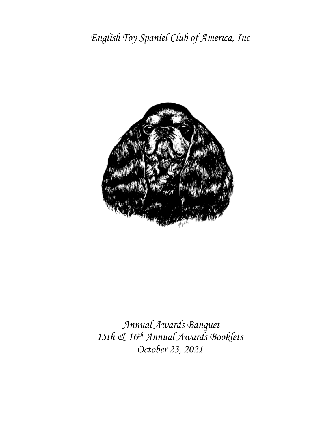

*Annual Awards Banquet 15th & 16th Annual Awards Booklets October 23, 2021*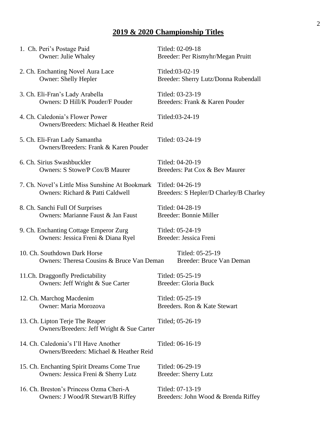# **2019 & 2020 Championship Titles**

| 1. Ch. Peri's Postage Paid                                                       | Titled: 02-09-18                       |
|----------------------------------------------------------------------------------|----------------------------------------|
| Owner: Julie Whaley                                                              | Breeder: Per Rismyhr/Megan Pruitt      |
| 2. Ch. Enchanting Novel Aura Lace                                                | Titled:03-02-19                        |
| <b>Owner: Shelly Hepler</b>                                                      | Breeder: Sherry Lutz/Donna Rubendall   |
| 3. Ch. Eli-Fran's Lady Arabella                                                  | Titled: 03-23-19                       |
| <b>Owners: D Hill/K Pouder/F Pouder</b>                                          | Breeders: Frank & Karen Pouder         |
| 4. Ch. Caledonia's Flower Power<br>Owners/Breeders: Michael & Heather Reid       | Titled:03-24-19                        |
| 5. Ch. Eli-Fran Lady Samantha<br>Owners/Breeders: Frank & Karen Pouder           | Titled: 03-24-19                       |
| 6. Ch. Sirius Swashbuckler                                                       | Titled: 04-20-19                       |
| <b>Owners: S Stowe/P Cox/B Maurer</b>                                            | Breeders: Pat Cox & Bev Maurer         |
| 7. Ch. Novel's Little Miss Sunshine At Bookmark                                  | Titled: 04-26-19                       |
| Owners: Richard & Patti Caldwell                                                 | Breeders: S Hepler/D Charley/B Charley |
| 8. Ch. Sanchi Full Of Surprises                                                  | Titled: 04-28-19                       |
| Owners: Marianne Faust & Jan Faust                                               | Breeder: Bonnie Miller                 |
| 9. Ch. Enchanting Cottage Emperor Zurg                                           | Titled: 05-24-19                       |
| Owners: Jessica Freni & Diana Ryel                                               | Breeder: Jessica Freni                 |
| 10. Ch. Southdown Dark Horse                                                     | Titled: 05-25-19                       |
| Owners: Theresa Cousins & Bruce Van Deman                                        | Breeder: Bruce Van Deman               |
| 11.Ch. Draggonfly Predictability                                                 | Titled: 05-25-19                       |
| Owners: Jeff Wright & Sue Carter                                                 | <b>Breeder: Gloria Buck</b>            |
| 12. Ch. Marchog Macdenim                                                         | Titled: 05-25-19                       |
| Owner: Maria Morozova                                                            | Breeders. Ron & Kate Stewart           |
| 13. Ch. Lipton Terje The Reaper<br>Owners/Breeders: Jeff Wright & Sue Carter     | Titled; 05-26-19                       |
| 14. Ch. Caledonia's I'll Have Another<br>Owners/Breeders: Michael & Heather Reid | Titled: 06-16-19                       |
| 15. Ch. Enchanting Spirit Dreams Come True                                       | Titled: 06-29-19                       |
| Owners: Jessica Freni & Sherry Lutz                                              | <b>Breeder: Sherry Lutz</b>            |
| 16. Ch. Breston's Princess Ozma Cheri-A                                          | Titled: 07-13-19                       |
| Owners: J Wood/R Stewart/B Riffey                                                | Breeders: John Wood & Brenda Riffey    |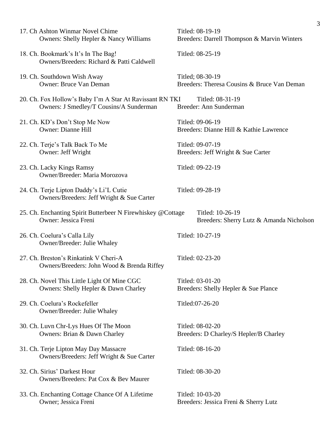|                                                             |                                                                                                     | 3                                                               |
|-------------------------------------------------------------|-----------------------------------------------------------------------------------------------------|-----------------------------------------------------------------|
|                                                             | 17. Ch Ashton Winmar Novel Chime<br>Owners: Shelly Hepler & Nancy Williams                          | Titled: 08-19-19<br>Breeders: Darrell Thompson & Marvin Winters |
|                                                             | 18. Ch. Bookmark's It's In The Bag!<br>Owners/Breeders: Richard & Patti Caldwell                    | Titled: 08-25-19                                                |
| 19. Ch. Southdown Wish Away                                 | <b>Owner: Bruce Van Deman</b>                                                                       | Titled; 08-30-19<br>Breeders: Theresa Cousins & Bruce Van Deman |
|                                                             | 20. Ch. Fox Hollow's Baby I'm A Star At Ravissant RN TKI<br>Owners: J Smedley/T Cousins/A Sunderman | Titled: 08-31-19<br>Breeder: Ann Sunderman                      |
| 21. Ch. KD's Don't Stop Me Now<br><b>Owner: Dianne Hill</b> |                                                                                                     | Titled: 09-06-19<br>Breeders: Dianne Hill & Kathie Lawrence     |
| 22. Ch. Terje's Talk Back To Me<br>Owner: Jeff Wright       |                                                                                                     | Titled: 09-07-19<br>Breeders: Jeff Wright & Sue Carter          |
| 23. Ch. Lacky Kings Ramsy                                   | Owner/Breeder: Maria Morozova                                                                       | Titled: 09-22-19                                                |
|                                                             | 24. Ch. Terje Lipton Daddy's Li'L Cutie<br>Owners/Breeders: Jeff Wright & Sue Carter                | Titled: 09-28-19                                                |
| Owner: Jessica Freni                                        | 25. Ch. Enchanting Spirit Butterbeer N Firewhiskey @Cottage                                         | Titled: 10-26-19<br>Breeders: Sherry Lutz & Amanda Nicholson    |
| 26. Ch. Coelura's Calla Lily                                | Owner/Breeder: Julie Whaley                                                                         | Titled: 10-27-19                                                |
|                                                             | 27. Ch. Breston's Rinkatink V Cheri-A<br>Owners/Breeders: John Wood & Brenda Riffey                 | Titled: 02-23-20                                                |
|                                                             | 28. Ch. Novel This Little Light Of Mine CGC<br>Owners: Shelly Hepler & Dawn Charley                 | Titled: 03-01-20<br>Breeders: Shelly Hepler & Sue Plance        |
| 29. Ch. Coelura's Rockefeller                               | Owner/Breeder: Julie Whaley                                                                         | Titled:07-26-20                                                 |
|                                                             | 30. Ch. Luvn Chr-Lys Hues Of The Moon<br>Owners: Brian & Dawn Charley                               | Titled: 08-02-20<br>Breeders: D Charley/S Hepler/B Charley      |
|                                                             | 31. Ch. Terje Lipton May Day Massacre<br>Owners/Breeders: Jeff Wright & Sue Carter                  | Titled: 08-16-20                                                |
| 32. Ch. Sirius' Darkest Hour                                | Owners/Breeders: Pat Cox & Bev Maurer                                                               | Titled: 08-30-20                                                |
| Owner; Jessica Freni                                        | 33. Ch. Enchanting Cottage Chance Of A Lifetime                                                     | Titled: 10-03-20<br>Breeders: Jessica Freni & Sherry Lutz       |
|                                                             |                                                                                                     |                                                                 |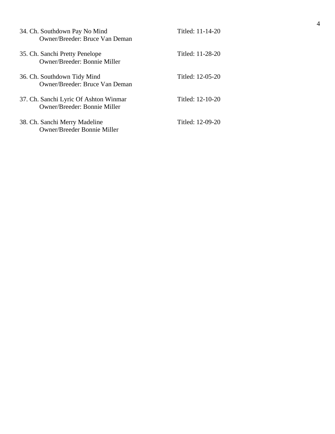| 34. Ch. Southdown Pay No Mind<br>Owner/Breeder: Bruce Van Deman       | Titled: 11-14-20 |
|-----------------------------------------------------------------------|------------------|
| 35. Ch. Sanchi Pretty Penelope<br>Owner/Breeder: Bonnie Miller        | Titled: 11-28-20 |
| 36. Ch. Southdown Tidy Mind<br>Owner/Breeder: Bruce Van Deman         | Titled: 12-05-20 |
| 37. Ch. Sanchi Lyric Of Ashton Winmar<br>Owner/Breeder: Bonnie Miller | Titled: 12-10-20 |
| 38. Ch. Sanchi Merry Madeline<br>Owner/Breeder Bonnie Miller          | Titled: 12-09-20 |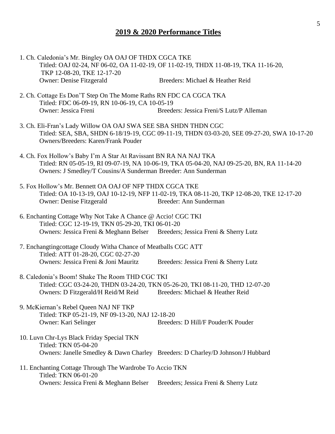#### **2019 & 2020 Performance Titles**

- 1. Ch. Caledonia's Mr. Bingley OA OAJ OF THDX CGCA TKE Titled: OAJ 02-24, NF 06-02, OA 11-02-19, OF 11-02-19, THDX 11-08-19, TKA 11-16-20, TKP 12-08-20, TKE 12-17-20 Owner: Denise Fitzgerald Breeders: Michael & Heather Reid
- 2. Ch. Cottage Es Don'T Step On The Mome Raths RN FDC CA CGCA TKA Titled: FDC 06-09-19, RN 10-06-19, CA 10-05-19 Owner: Jessica Freni Breeders: Jessica Freni/S Lutz/P Alleman
- 3. Ch. Eli-Fran's Lady Willow OA OAJ SWA SEE SBA SHDN THDN CGC Titled: SEA, SBA, SHDN 6-18/19-19, CGC 09-11-19, THDN 03-03-20, SEE 09-27-20, SWA 10-17-20 Owners/Breeders: Karen/Frank Pouder
- 4. Ch. Fox Hollow's Baby I'm A Star At Ravissant BN RA NA NAJ TKA Titled: RN 05-05-19, RI 09-07-19, NA 10-06-19, TKA 05-04-20, NAJ 09-25-20, BN, RA 11-14-20 Owners: J Smedley/T Cousins/A Sunderman Breeder: Ann Sunderman
- 5. Fox Hollow's Mr. Bennett OA OAJ OF NFP THDX CGCA TKE Titled: OA 10-13-19, OAJ 10-12-19, NFP 11-02-19, TKA 08-11-20, TKP 12-08-20, TKE 12-17-20 Owner: Denise Fitzgerald Breeder: Ann Sunderman
- 6. Enchanting Cottage Why Not Take A Chance @ Accio! CGC TKI Titled: CGC 12-19-19, TKN 05-29-20, TKI 06-01-20 Owners: Jessica Freni & Meghann Belser Breeders; Jessica Freni & Sherry Lutz
- 7. Enchangtingcottage Cloudy Witha Chance of Meatballs CGC ATT Titled: ATT 01-28-20, CGC 02-27-20 Owners: Jessica Freni & Joni Mauritz Breeders: Jessica Freni & Sherry Lutz
- 8. Caledonia's Boom! Shake The Room THD CGC TKI Titled: CGC 03-24-20, THDN 03-24-20, TKN 05-26-20, TKI 08-11-20, THD 12-07-20 Owners: D Fitzgerald/H Reid/M Reid Breeders: Michael & Heather Reid
- 9. McKiernan's Rebel Queen NAJ NF TKP Titled: TKP 05-21-19, NF 09-13-20, NAJ 12-18-20 Owner: Kari Selinger Breeders: D Hill/F Pouder/K Pouder
- 10. Luvn Chr-Lys Black Friday Special TKN Titled: TKN 05-04-20 Owners: Janelle Smedley & Dawn Charley Breeders: D Charley/D Johnson/J Hubbard
- 11. Enchanting Cottage Through The Wardrobe To Accio TKN Titled: TKN 06-01-20 Owners: Jessica Freni & Meghann Belser Breeders; Jessica Freni & Sherry Lutz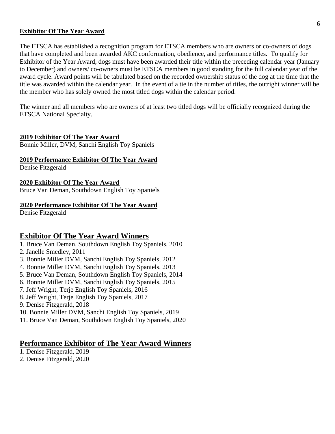#### **Exhibitor Of The Year Award**

The ETSCA has established a recognition program for ETSCA members who are owners or co-owners of dogs that have completed and been awarded AKC conformation, obedience, and performance titles. To qualify for Exhibitor of the Year Award, dogs must have been awarded their title within the preceding calendar year (January to December) and owners/ co-owners must be ETSCA members in good standing for the full calendar year of the award cycle. Award points will be tabulated based on the recorded ownership status of the dog at the time that the title was awarded within the calendar year. In the event of a tie in the number of titles, the outright winner will be the member who has solely owned the most titled dogs within the calendar period.

The winner and all members who are owners of at least two titled dogs will be officially recognized during the ETSCA National Specialty.

#### **2019 Exhibitor Of The Year Award**

Bonnie Miller, DVM, Sanchi English Toy Spaniels

#### **2019 Performance Exhibitor Of The Year Award**

Denise Fitzgerald

#### **2020 Exhibitor Of The Year Award**

Bruce Van Deman, Southdown English Toy Spaniels

#### **2020 Performance Exhibitor Of The Year Award**

Denise Fitzgerald

#### **Exhibitor Of The Year Award Winners**

- 1. Bruce Van Deman, Southdown English Toy Spaniels, 2010
- 2. Janelle Smedley, 2011
- 3. Bonnie Miller DVM, Sanchi English Toy Spaniels, 2012
- 4. Bonnie Miller DVM, Sanchi English Toy Spaniels, 2013
- 5. Bruce Van Deman, Southdown English Toy Spaniels, 2014
- 6. Bonnie Miller DVM, Sanchi English Toy Spaniels, 2015
- 7. Jeff Wright, Terje English Toy Spaniels, 2016
- 8. Jeff Wright, Terje English Toy Spaniels, 2017
- 9. Denise Fitzgerald, 2018
- 10. Bonnie Miller DVM, Sanchi English Toy Spaniels, 2019
- 11. Bruce Van Deman, Southdown English Toy Spaniels, 2020

#### **Performance Exhibitor of The Year Award Winners**

- 1. Denise Fitzgerald, 2019
- 2. Denise Fitzgerald, 2020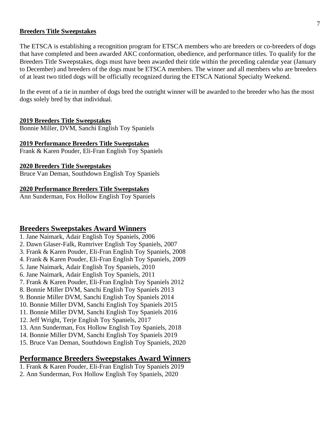#### **Breeders Title Sweepstakes**

The ETSCA is establishing a recognition program for ETSCA members who are breeders or co-breeders of dogs that have completed and been awarded AKC conformation, obedience, and performance titles. To qualify for the Breeders Title Sweepstakes, dogs must have been awarded their title within the preceding calendar year (January to December) and breeders of the dogs must be ETSCA members. The winner and all members who are breeders of at least two titled dogs will be officially recognized during the ETSCA National Specialty Weekend.

In the event of a tie in number of dogs bred the outright winner will be awarded to the breeder who has the most dogs solely bred by that individual.

#### **2019 Breeders Title Sweepstakes**

Bonnie Miller, DVM, Sanchi English Toy Spaniels

#### **2019 Performance Breeders Title Sweepstakes**

Frank & Karen Pouder, Eli-Fran English Toy Spaniels

#### **2020 Breeders Title Sweepstakes**

Bruce Van Deman, Southdown English Toy Spaniels

#### **2020 Performance Breeders Title Sweepstakes**

Ann Sunderman, Fox Hollow English Toy Spaniels

### **Breeders Sweepstakes Award Winners**

- 1. Jane Naimark, Adair English Toy Spaniels, 2006
- 2. Dawn Glaser-Falk, Rumriver English Toy Spaniels, 2007
- 3. Frank & Karen Pouder, Eli-Fran English Toy Spaniels, 2008
- 4. Frank & Karen Pouder, Eli-Fran English Toy Spaniels, 2009
- 5. Jane Naimark, Adair English Toy Spaniels, 2010
- 6. Jane Naimark, Adair English Toy Spaniels, 2011
- 7. Frank & Karen Pouder, Eli-Fran English Toy Spaniels 2012
- 8. Bonnie Miller DVM, Sanchi English Toy Spaniels 2013
- 9. Bonnie Miller DVM, Sanchi English Toy Spaniels 2014
- 10. Bonnie Miller DVM, Sanchi English Toy Spaniels 2015
- 11. Bonnie Miller DVM, Sanchi English Toy Spaniels 2016
- 12. Jeff Wright, Terje English Toy Spaniels, 2017
- 13. Ann Sunderman, Fox Hollow English Toy Spaniels, 2018
- 14. Bonnie Miller DVM, Sanchi English Toy Spaniels 2019
- 15. Bruce Van Deman, Southdown English Toy Spaniels, 2020

## **Performance Breeders Sweepstakes Award Winners**

- 1. Frank & Karen Pouder, Eli-Fran English Toy Spaniels 2019
- 2. Ann Sunderman, Fox Hollow English Toy Spaniels, 2020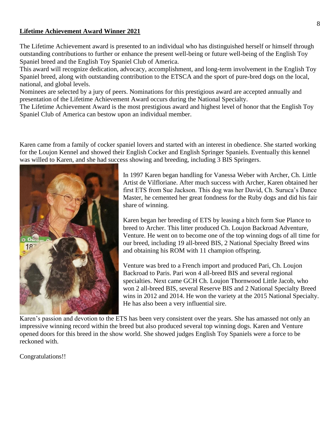#### **Lifetime Achievement Award Winner 2021**

The Lifetime Achievement award is presented to an individual who has distinguished herself or himself through outstanding contributions to further or enhance the present well-being or future well-being of the English Toy Spaniel breed and the English Toy Spaniel Club of America.

This award will recognize dedication, advocacy, accomplishment, and long-term involvement in the English Toy Spaniel breed, along with outstanding contribution to the ETSCA and the sport of pure-bred dogs on the local, national, and global levels.

Nominees are selected by a jury of peers. Nominations for this prestigious award are accepted annually and presentation of the Lifetime Achievement Award occurs during the National Specialty.

The Lifetime Achievement Award is the most prestigious award and highest level of honor that the English Toy Spaniel Club of America can bestow upon an individual member.

Karen came from a family of cocker spaniel lovers and started with an interest in obedience. She started working for the Loujon Kennel and showed their English Cocker and English Springer Spaniels. Eventually this kennel was willed to Karen, and she had success showing and breeding, including 3 BIS Springers.



In 1997 Karen began handling for Vanessa Weber with Archer, Ch. Little Artist de Vilfloriane. After much success with Archer, Karen obtained her first ETS from Sue Jackson. This dog was her David, Ch. Suruca's Dance Master, he cemented her great fondness for the Ruby dogs and did his fair share of winning.

Karen began her breeding of ETS by leasing a bitch form Sue Plance to breed to Archer. This litter produced Ch. Loujon Backroad Adventure, Venture. He went on to become one of the top winning dogs of all time for our breed, including 19 all-breed BIS, 2 National Specialty Breed wins and obtaining his ROM with 11 champion offspring.

Venture was bred to a French import and produced Pari, Ch. Loujon Backroad to Paris. Pari won 4 all-breed BIS and several regional specialties. Next came GCH Ch. Loujon Thornwood Little Jacob, who won 2 all-breed BIS, several Reserve BIS and 2 National Specialty Breed wins in 2012 and 2014. He won the variety at the 2015 National Specialty. He has also been a very influential sire.

Karen's passion and devotion to the ETS has been very consistent over the years. She has amassed not only an impressive winning record within the breed but also produced several top winning dogs. Karen and Venture opened doors for this breed in the show world. She showed judges English Toy Spaniels were a force to be reckoned with.

Congratulations!!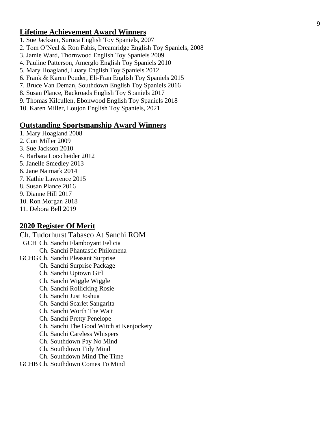#### **Lifetime Achievement Award Winners**

- 1. Sue Jackson, Suruca English Toy Spaniels, 2007
- 2. Tom O'Neal & Ron Fabis, Dreamridge English Toy Spaniels, 2008
- 3. Jamie Ward, Thornwood English Toy Spaniels 2009
- 4. Pauline Patterson, Amerglo English Toy Spaniels 2010
- 5. Mary Hoagland, Luary English Toy Spaniels 2012
- 6. Frank & Karen Pouder, Eli -Fran English Toy Spaniels 2015
- 7. Bruce Van Deman, Southdown English Toy Spaniels 2016
- 8. Susan Plance, Backroads English Toy Spaniels 2017
- 9. Thomas Kilcullen, Ebonwood English Toy Spaniels 2018
- 10. Karen Miller, Loujon English Toy Spaniels, 202 1

#### **Outstanding Sportsmanship Award Winners**

- 1. Mary Hoagland 2008
- 2. Curt Miller 2009
- 3. Sue Jackson 2010
- 4. Barbara Lorscheider 2012
- 5. Janelle Smedley 2013
- 6. Jane Naimark 2014
- 7. Kathie Lawrence 2015
- 8. Susan Plance 2016
- 9. Dianne Hill 2017
- 10. Ron Morgan 2018
- 11. Debora Bell 2019

#### **2020 Register Of Merit**

Ch. Tudorhurst Tabasco At Sanchi ROM GC H Ch. Sanchi Flamboyant Felicia Ch. Sanchi Phantastic Philomena GCHG Ch. Sanchi Pleasant Surprise Ch. Sanchi Surprise Package Ch. Sanchi Uptown Girl Ch. Sanchi Wiggle Wiggle Ch. Sanchi Rollicking Rosie Ch. Sanchi Just Joshua Ch. Sanchi Scarlet Sangarita Ch. Sanchi Worth The Wait Ch. Sanchi Pretty Penelope Ch. Sanchi The Good Witch at Kenjockety Ch. Sanchi Careless Whispers Ch. Southdown Pay No Mind Ch. Southdown Tidy Mind Ch. Southdown Mind The Time

GCHB Ch. Southdown Comes To Mind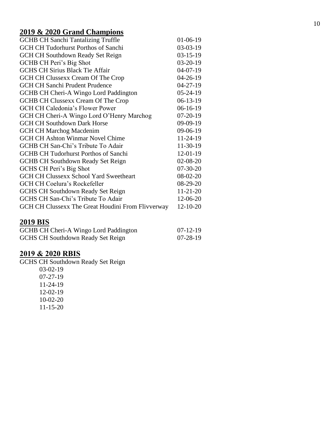# **2019 & 2020 Grand Champions**

| <b>GCHB CH Sanchi Tantalizing Truffle</b>         | $01-06-19$     |
|---------------------------------------------------|----------------|
| <b>GCH CH Tudorhurst Porthos of Sanchi</b>        | $03-03-19$     |
| <b>GCH CH Southdown Ready Set Reign</b>           | $03-15-19$     |
| GCHB CH Peri's Big Shot                           | $03-20-19$     |
| <b>GCHS CH Sirius Black Tie Affair</b>            | $04-07-19$     |
| GCH CH Clussexx Cream Of The Crop                 | $04 - 26 - 19$ |
| <b>GCH CH Sanchi Prudent Prudence</b>             | $04 - 27 - 19$ |
| GCHB CH Cheri-A Wingo Lord Paddington             | $05 - 24 - 19$ |
| <b>GCHB CH Clussexx Cream Of The Crop</b>         | $06-13-19$     |
| <b>GCH CH Caledonia's Flower Power</b>            | $06-16-19$     |
| GCH CH Cheri-A Wingo Lord O'Henry Marchog         | $07-20-19$     |
| <b>GCH CH Southdown Dark Horse</b>                | $09-09-19$     |
| <b>GCH CH Marchog Macdenim</b>                    | $09-06-19$     |
| <b>GCH CH Ashton Winmar Novel Chime</b>           | $11 - 24 - 19$ |
| GCHB CH San-Chi's Tribute To Adair                | $11-30-19$     |
| <b>GCHB CH Tudorhurst Porthos of Sanchi</b>       | $12 - 01 - 19$ |
| <b>GCHB CH Southdown Ready Set Reign</b>          | $02 - 08 - 20$ |
| GCHS CH Peri's Big Shot                           | $07 - 30 - 20$ |
| <b>GCH CH Clussexx School Yard Sweetheart</b>     | $08-02-20$     |
| GCH CH Coelura's Rockefeller                      | $08-29-20$     |
| <b>GCHS CH Southdown Ready Set Reign</b>          | $11 - 21 - 20$ |
| GCHS CH San-Chi's Tribute To Adair                | 12-06-20       |
| GCH CH Clussexx The Great Houdini From Flivverway | $12 - 10 - 20$ |

# **2019 BIS**

| GCHB CH Cheri-A Wingo Lord Paddington    | $07-12-19$ |
|------------------------------------------|------------|
| <b>GCHS CH Southdown Ready Set Reign</b> | 07-28-19   |

### **2019 & 2020 RBIS**

GCHS CH Southdown Ready Set Reign

03 -02 -19 07 -27 -19 11 -24 -19 12 -02 -19 10 -02 -20 11 -15 -20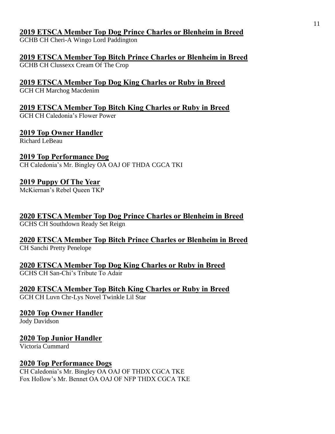## **2019 ETSCA Member Top Dog Prince Charles or Blenheim in Breed**

GCHB CH Cheri-A Wingo Lord Paddington

**2019 ETSCA Member Top Bitch Prince Charles or Blenheim in Breed** GCHB CH Clussexx Cream Of The Crop

**2019 ETSCA Member Top Dog King Charles or Ruby in Breed** GCH CH Marchog Macdenim

**2019 ETSCA Member Top Bitch King Charles or Ruby in Breed**

GCH CH Caledonia's Flower Power

**2019 Top Owner Handler**

Richard LeBeau

**2019 Top Performance Dog**

CH Caledonia's Mr. Bingley OA OAJ OF THDA CGCA TKI

# **2019 Puppy Of The Year**

McKiernan's Rebel Queen TKP

**2020 ETSCA Member Top Dog Prince Charles or Blenheim in Breed** GCHS CH Southdown Ready Set Reign

**2020 ETSCA Member Top Bitch Prince Charles or Blenheim in Breed** CH Sanchi Pretty Penelope

**2020 ETSCA Member Top Dog King Charles or Ruby in Breed** GCHS CH San-Chi's Tribute To Adair

**2020 ETSCA Member Top Bitch King Charles or Ruby in Breed** GCH CH Luvn Chr-Lys Novel Twinkle Lil Star

**2020 Top Owner Handler**

Jody Davidson

**2020 Top Junior Handler**

Victoria Cummard

# **2020 Top Performance Dogs**

CH Caledonia's Mr. Bingley OA OAJ OF THDX CGCA TKE Fox Hollow's Mr. Bennet OA OAJ OF NFP THDX CGCA TKE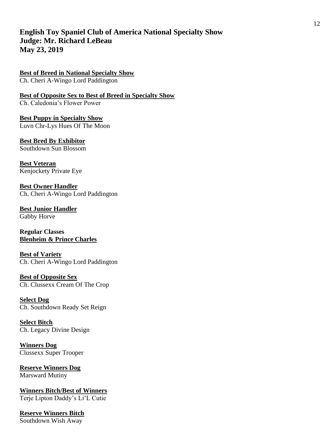## **English Toy Spaniel Club of America National Specialty Show Judge: Mr. Richard LeBeau May 23, 2019**

**Best of Breed in National Specialty Show** Ch. Cheri A-Wingo Lord Paddington

**Best of Opposite Sex to Best of Breed in Specialty Show** Ch. Caledonia's Flower Power

**Best Puppy in Specialty Show** Luvn Chr-Lys Hues Of The Moon

**Best Bred By Exhibitor** Southdown Sun Blossom

**Best Veteran** Kenjockety Private Eye

**Best Owner Handler** Ch. Cheri A-Wingo Lord Paddington

**Best Junior Handler** Gabby Horve

**Regular Classes Blenheim & Prince Charles**

**Best of Variety** Ch. Cheri A-Wingo Lord Paddington

**Best of Opposite Sex** Ch. Clussexx Cream Of The Crop

**Select Dog** Ch. Southdown Ready Set Reign

**Select Bitch** Ch. Legacy Divine Design

**Winners Dog** Clussexx Super Trooper

**Reserve Winners Dog** Marsward Mutiny

**Winners Bitch/Best of Winners** Terje Lipton Daddy's Li'L Cutie

**Reserve Winners Bitch** Southdown Wish Away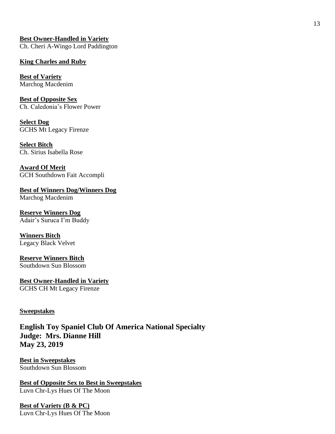**Best Owner-Handled in Variety** Ch. Cheri A-Wingo Lord Paddington

### **King Charles and Ruby**

**Best of Variety** Marchog Macdenim

**Best of Opposite Sex** Ch. Caledonia's Flower Power

**Select Dog** GCHS Mt Legacy Firenze

**Select Bitch** Ch. Sirius Isabella Rose

**Award Of Merit** GCH Southdown Fait Accompli

**Best of Winners Dog/Winners Dog** Marchog Macdenim

**Reserve Winners Dog** Adair's Suruca I'm Buddy

**Winners Bitch** Legacy Black Velvet

**Reserve Winners Bitch** Southdown Sun Blossom

**Best Owner-Handled in Variety** GCHS CH Mt Legacy Firenze

### **Sweepstakes**

**English Toy Spaniel Club Of America National Specialty Judge: Mrs. Dianne Hill May 23, 2019**

**Best in Sweepstakes** Southdown Sun Blossom

**Best of Opposite Sex to Best in Sweepstakes** Luvn Chr-Lys Hues Of The Moon

**Best of Variety (B & PC)** Luvn Chr-Lys Hues Of The Moon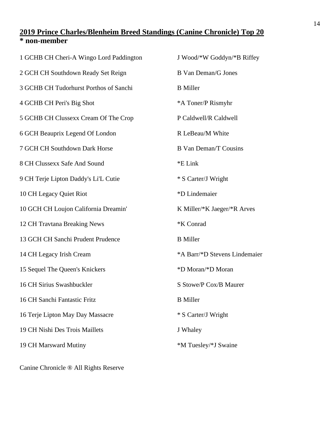## **2019 Prince Charles/Blenheim Breed Standings (Canine Chronicle) Top 20 \* non-member**

| 1 GCHB CH Cheri-A Wingo Lord Paddington | J Wood/*W Goddyn/*B Riffey    |
|-----------------------------------------|-------------------------------|
| 2 GCH CH Southdown Ready Set Reign      | <b>B</b> Van Deman/G Jones    |
| 3 GCHB CH Tudorhurst Porthos of Sanchi  | <b>B</b> Miller               |
| 4 GCHB CH Peri's Big Shot               | *A Toner/P Rismyhr            |
| 5 GCHB CH Clussexx Cream Of The Crop    | P Caldwell/R Caldwell         |
| 6 GCH Beauprix Legend Of London         | R LeBeau/M White              |
| 7 GCH CH Southdown Dark Horse           | <b>B</b> Van Deman/T Cousins  |
| 8 CH Clussexx Safe And Sound            | *E Link                       |
| 9 CH Terje Lipton Daddy's Li'L Cutie    | * S Carter/J Wright           |
| 10 CH Legacy Quiet Riot                 | *D Lindemaier                 |
| 10 GCH CH Loujon California Dreamin'    | K Miller/*K Jaeger/*R Arves   |
| 12 CH Travtana Breaking News            | *K Conrad                     |
| 13 GCH CH Sanchi Prudent Prudence       | <b>B</b> Miller               |
| 14 CH Legacy Irish Cream                | *A Barr/*D Stevens Lindemaier |
| 15 Sequel The Queen's Knickers          | *D Moran/*D Moran             |
| 16 CH Sirius Swashbuckler               | S Stowe/P Cox/B Maurer        |
| 16 CH Sanchi Fantastic Fritz            | <b>B</b> Miller               |
| 16 Terje Lipton May Day Massacre        | * S Carter/J Wright           |
| 19 CH Nishi Des Trois Maillets          | J Whaley                      |
| 19 CH Marsward Mutiny                   | *M Tuesley/*J Swaine          |
|                                         |                               |

Canine Chronicle ® All Rights Reserve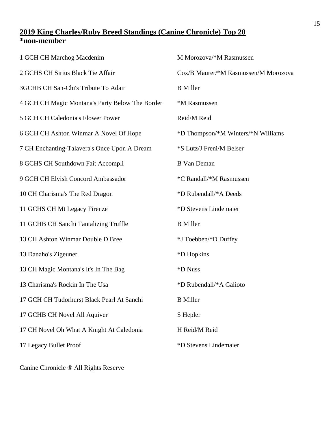## **King Charles/Ruby Breed Standings (Canine Chronicle) Top 20 \*non-member**

| 1 GCH CH Marchog Macdenim                       | M Morozova/*M Rasmussen              |
|-------------------------------------------------|--------------------------------------|
| 2 GCHS CH Sirius Black Tie Affair               | Cox/B Maurer/*M Rasmussen/M Morozova |
| 3GCHB CH San-Chi's Tribute To Adair             | <b>B</b> Miller                      |
| 4 GCH CH Magic Montana's Party Below The Border | *M Rasmussen                         |
| 5 GCH CH Caledonia's Flower Power               | Reid/M Reid                          |
| 6 GCH CH Ashton Winmar A Novel Of Hope          | *D Thompson/*M Winters/*N Williams   |
| 7 CH Enchanting-Talavera's Once Upon A Dream    | *S Lutz/J Freni/M Belser             |
| 8 GCHS CH Southdown Fait Accompli               | <b>B</b> Van Deman                   |
| 9 GCH CH Elvish Concord Ambassador              | *C Randall/*M Rasmussen              |
| 10 CH Charisma's The Red Dragon                 | *D Rubendall/*A Deeds                |
| 11 GCHS CH Mt Legacy Firenze                    | *D Stevens Lindemaier                |
| 11 GCHB CH Sanchi Tantalizing Truffle           | <b>B</b> Miller                      |
| 13 CH Ashton Winmar Double D Bree               | *J Toebben/*D Duffey                 |
| 13 Danaho's Zigeuner                            | *D Hopkins                           |
| 13 CH Magic Montana's It's In The Bag           | *D Nuss                              |
| 13 Charisma's Rockin In The Usa                 | *D Rubendall/*A Galioto              |
| 17 GCH CH Tudorhurst Black Pearl At Sanchi      | <b>B</b> Miller                      |
| 17 GCHB CH Novel All Aquiver                    | S Hepler                             |
| 17 CH Novel Oh What A Knight At Caledonia       | H Reid/M Reid                        |
| 17 Legacy Bullet Proof                          | *D Stevens Lindemaier                |
|                                                 |                                      |

Canine Chronicle ® All Rights Reserve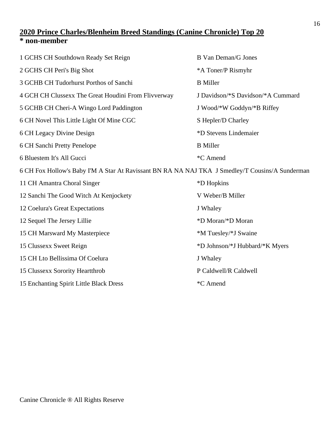# **2020 Prince Charles/Blenheim Breed Standings (Canine Chronicle) Top 20 \* non-member**

| 1 GCHS CH Southdown Ready Set Reign                                                             | <b>B</b> Van Deman/G Jones        |
|-------------------------------------------------------------------------------------------------|-----------------------------------|
| 2 GCHS CH Peri's Big Shot                                                                       | *A Toner/P Rismyhr                |
| 3 GCHB CH Tudorhurst Porthos of Sanchi                                                          | <b>B</b> Miller                   |
| 4 GCH CH Clussexx The Great Houdini From Flivverway                                             | J Davidson/*S Davidson/*A Cummard |
| 5 GCHB CH Cheri-A Wingo Lord Paddington                                                         | J Wood/*W Goddyn/*B Riffey        |
| 6 CH Novel This Little Light Of Mine CGC                                                        | S Hepler/D Charley                |
| 6 CH Legacy Divine Design                                                                       | *D Stevens Lindemaier             |
| 6 CH Sanchi Pretty Penelope                                                                     | <b>B</b> Miller                   |
| 6 Bluestem It's All Gucci                                                                       | *C Amend                          |
| 6 CH Fox Hollow's Baby I'M A Star At Ravissant BN RA NA NAJ TKA J Smedley/T Cousins/A Sunderman |                                   |
| 11 CH Amantra Choral Singer                                                                     | *D Hopkins                        |
| 12 Sanchi The Good Witch At Kenjockety                                                          | V Weber/B Miller                  |
| 12 Coelura's Great Expectations                                                                 | J Whaley                          |
| 12 Sequel The Jersey Lillie                                                                     | *D Moran/*D Moran                 |
| 15 CH Marsward My Masterpiece                                                                   | *M Tuesley/*J Swaine              |
| 15 Clussexx Sweet Reign                                                                         | *D Johnson/*J Hubbard/*K Myers    |
| 15 CH Lto Bellissima Of Coelura                                                                 | J Whaley                          |
| 15 Clussexx Sorority Heartthrob                                                                 | P Caldwell/R Caldwell             |
| 15 Enchanting Spirit Little Black Dress                                                         | *C Amend                          |